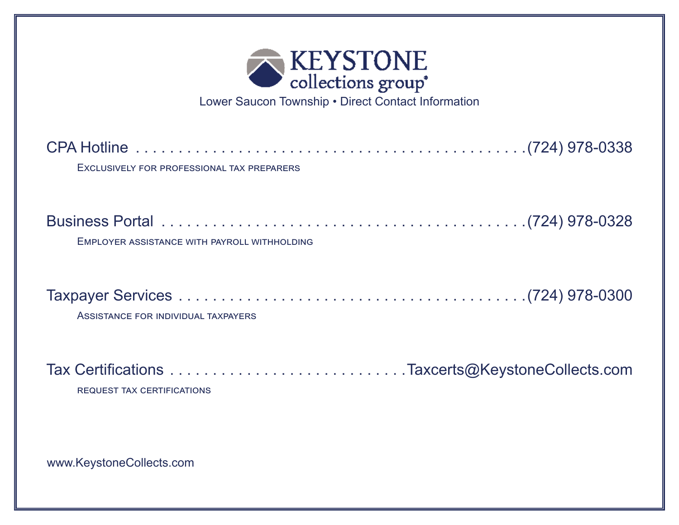

Lower Saucon Township • Direct Contact Information

CPA Hotline . . . . . . . . . . . . . . . . . . . . . . . . . . . . . . . . . . . . . . . . . . . . . (724) 978-0338 Exclusively for professional tax preparers

| EMPLOYER ASSISTANCE WITH PAYROLL WITHHOLDING |  |
|----------------------------------------------|--|

Assistance for individual taxpayers

Tax Certifications . . . . . . . . . . . . . . . . . . . . . . . . . . . Taxcerts@KeystoneCollects.com request tax certifications

www.KeystoneCollects.com